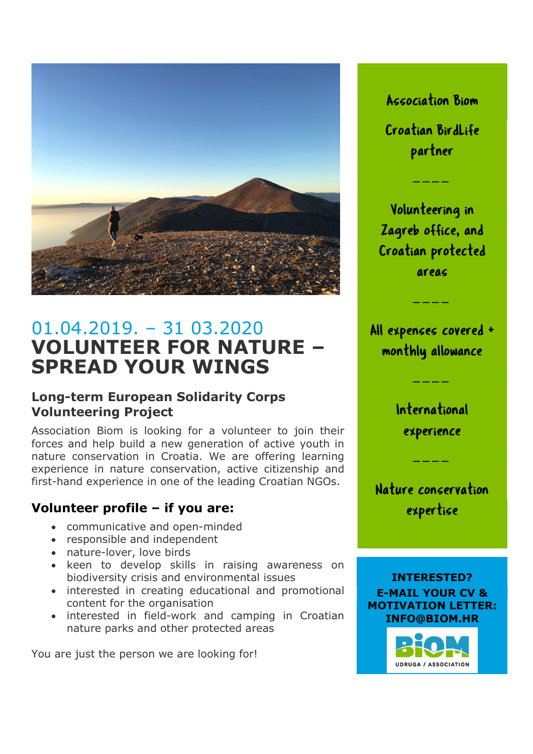

# 01.04.2019. – 31 03.2020 VOLUNTEER FOR NATURE – SPREAD YOUR WINGS

#### Long-term European Solidarity Corps Volunteering Project

Association Biom is looking for a volunteer to join their **experience** forces and help build a new generation of active youth in nature conservation in Croatia. We are offering learning experience in nature conservation, active citizenship and first-hand experience in one of the leading Croatian NGOs.

#### Volunteer profile – if you are:

- communicative and open-minded
- responsible and independent
- nature-lover, love birds
- keen to develop skills in raising awareness on biodiversity crisis and environmental issues
- interested in creating educational and promotional content for the organisation
- interested in field-work and camping in Croatian nature parks and other protected areas

You are just the person we are looking for!

Association Biom Croatian BirdLife ociation Biom<br>tian BirdLife<br>partner<br>───<br>unteering in<br>eb office, and

Volunteering in Zagreb office, and Croatian protected ciation Biom<br>tian BirdLife<br>partner<br>————<br>nteering in<br>b office, and<br>an protected<br>areas<br>————<br>nses covered +<br>nly allowance partner<br>
————<br>
Volunteering in<br>
Zagreb office, and<br>
Croatian protected<br>
areas<br>
————<br>
Expenses covered +<br>
monthly allowance<br>
————<br>
International<br>
experience reb office, and<br>tian protected<br>areas<br>————<br>penses covered +<br>thly allowance<br>————<br>nternational<br>experience<br>————<br>re conservation<br>expertise

All expenses covered +

International

Nature conservation expertise



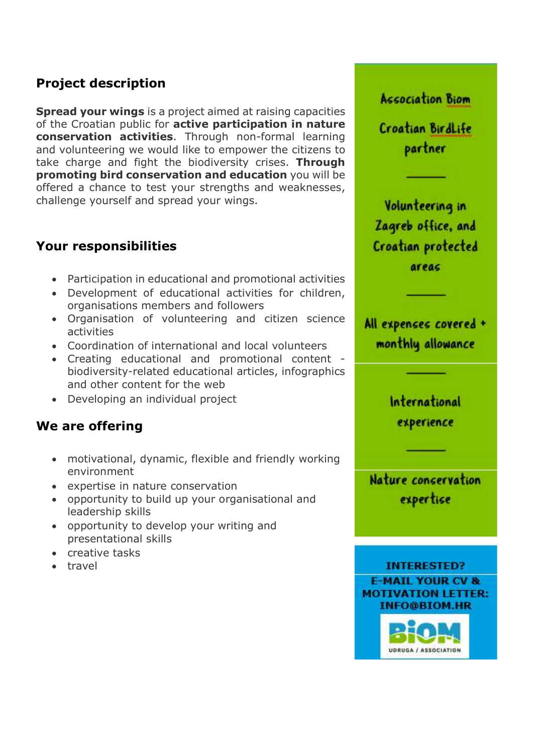## Project description

**Spread your wings** is a project aimed at raising capacities of the Croatian public for **active participation in nature** conservation activities. Through non-formal learning and volunteering we would like to empower the citizens to take charge and fight the biodiversity crises. Through promoting bird conservation and education you will be offered a chance to test your strengths and weaknesses, challenge yourself and spread your wings.

#### Your responsibilities

- Participation in educational and promotional activities
- Development of educational activities for children, organisations members and followers
- Organisation of volunteering and citizen science activities
- Coordination of international and local volunteers
- Creating educational and promotional content biodiversity-related educational articles, infographics and other content for the web
- Developing an individual project

#### We are offering

- motivational, dynamic, flexible and friendly working environment
- expertise in nature conservation
- opportunity to build up your organisational and leadership skills
- opportunity to develop your writing and presentational skills
- creative tasks
- travel

Croatian BirdLife partner Volunteering in Zagreb office, and Croatian protected

**Association Biom** 

areac

All expenses covered + monthly allowance

> International experience

Nature concervation expertise

**INTERESTED? E-MAIL YOUR CV & MOTIVATION LETTER: INFO@BIOM.HR**